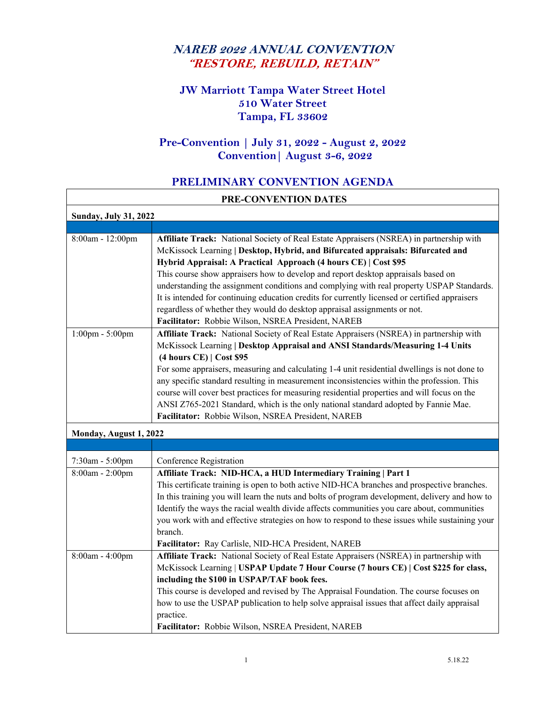# **NAREB 2022 ANNUAL CONVENTION "RESTORE, REBUILD, RETAIN"**

# **JW Marriott Tampa Water Street Hotel 510 Water Street Tampa, FL 33602**

#### **Pre-Convention | July 31, 2022 - August 2, 2022 Convention| August 3-6, 2022**

#### **PRELIMINARY CONVENTION AGENDA**

'n

| PRE-CONVENTION DATES         |                                                                                                                                                                                                                                                                                                                                                                                                                                                                                                                                                                                                                                                                      |
|------------------------------|----------------------------------------------------------------------------------------------------------------------------------------------------------------------------------------------------------------------------------------------------------------------------------------------------------------------------------------------------------------------------------------------------------------------------------------------------------------------------------------------------------------------------------------------------------------------------------------------------------------------------------------------------------------------|
| <b>Sunday, July 31, 2022</b> |                                                                                                                                                                                                                                                                                                                                                                                                                                                                                                                                                                                                                                                                      |
|                              |                                                                                                                                                                                                                                                                                                                                                                                                                                                                                                                                                                                                                                                                      |
| 8:00am - 12:00pm             | Affiliate Track: National Society of Real Estate Appraisers (NSREA) in partnership with<br>McKissock Learning   Desktop, Hybrid, and Bifurcated appraisals: Bifurcated and<br>Hybrid Appraisal: A Practical Approach (4 hours CE)   Cost \$95<br>This course show appraisers how to develop and report desktop appraisals based on<br>understanding the assignment conditions and complying with real property USPAP Standards.<br>It is intended for continuing education credits for currently licensed or certified appraisers<br>regardless of whether they would do desktop appraisal assignments or not.<br>Facilitator: Robbie Wilson, NSREA President, NAREB |
| $1:00$ pm - $5:00$ pm        | Affiliate Track: National Society of Real Estate Appraisers (NSREA) in partnership with<br>McKissock Learning   Desktop Appraisal and ANSI Standards/Measuring 1-4 Units<br>$(4 hours CE)$ Cost \$95<br>For some appraisers, measuring and calculating 1-4 unit residential dwellings is not done to<br>any specific standard resulting in measurement inconsistencies within the profession. This<br>course will cover best practices for measuring residential properties and will focus on the<br>ANSI Z765-2021 Standard, which is the only national standard adopted by Fannie Mae.<br>Facilitator: Robbie Wilson, NSREA President, NAREB                       |
| Monday, August 1, 2022       |                                                                                                                                                                                                                                                                                                                                                                                                                                                                                                                                                                                                                                                                      |
|                              |                                                                                                                                                                                                                                                                                                                                                                                                                                                                                                                                                                                                                                                                      |
| 7:30am - 5:00pm              | Conference Registration                                                                                                                                                                                                                                                                                                                                                                                                                                                                                                                                                                                                                                              |
| 8:00am - 2:00pm              | Affiliate Track: NID-HCA, a HUD Intermediary Training   Part 1<br>This certificate training is open to both active NID-HCA branches and prospective branches.<br>In this training you will learn the nuts and bolts of program development, delivery and how to<br>Identify the ways the racial wealth divide affects communities you care about, communities<br>you work with and effective strategies on how to respond to these issues while sustaining your<br>branch.<br>Facilitator: Ray Carlisle, NID-HCA President, NAREB                                                                                                                                    |
| 8:00am - 4:00pm              | Affiliate Track: National Society of Real Estate Appraisers (NSREA) in partnership with<br>McKissock Learning   USPAP Update 7 Hour Course (7 hours CE)   Cost \$225 for class,<br>including the \$100 in USPAP/TAF book fees.<br>This course is developed and revised by The Appraisal Foundation. The course focuses on<br>how to use the USPAP publication to help solve appraisal issues that affect daily appraisal<br>practice.<br>Facilitator: Robbie Wilson, NSREA President, NAREB                                                                                                                                                                          |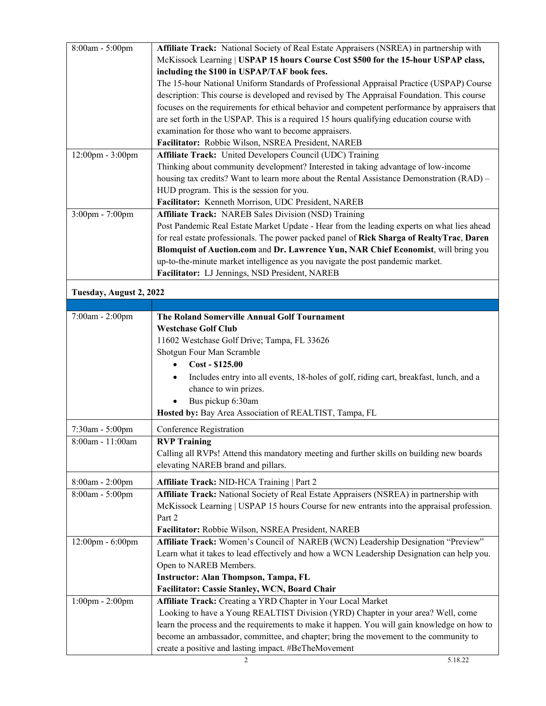| 8:00am - 5:00pm         | Affiliate Track: National Society of Real Estate Appraisers (NSREA) in partnership with       |
|-------------------------|-----------------------------------------------------------------------------------------------|
|                         | McKissock Learning   USPAP 15 hours Course Cost \$500 for the 15-hour USPAP class,            |
|                         | including the \$100 in USPAP/TAF book fees.                                                   |
|                         | The 15-hour National Uniform Standards of Professional Appraisal Practice (USPAP) Course      |
|                         | description: This course is developed and revised by The Appraisal Foundation. This course    |
|                         | focuses on the requirements for ethical behavior and competent performance by appraisers that |
|                         | are set forth in the USPAP. This is a required 15 hours qualifying education course with      |
|                         | examination for those who want to become appraisers.                                          |
|                         | Facilitator: Robbie Wilson, NSREA President, NAREB                                            |
| 12:00pm - 3:00pm        | Affiliate Track: United Developers Council (UDC) Training                                     |
|                         | Thinking about community development? Interested in taking advantage of low-income            |
|                         | housing tax credits? Want to learn more about the Rental Assistance Demonstration (RAD) –     |
|                         | HUD program. This is the session for you.                                                     |
|                         | Facilitator: Kenneth Morrison, UDC President, NAREB                                           |
| 3:00pm - 7:00pm         | Affiliate Track: NAREB Sales Division (NSD) Training                                          |
|                         | Post Pandemic Real Estate Market Update - Hear from the leading experts on what lies ahead    |
|                         | for real estate professionals. The power packed panel of Rick Sharga of RealtyTrac, Daren     |
|                         | Blomquist of Auction.com and Dr. Lawrence Yun, NAR Chief Economist, will bring you            |
|                         | up-to-the-minute market intelligence as you navigate the post pandemic market.                |
|                         | Facilitator: LJ Jennings, NSD President, NAREB                                                |
| Tuesday, August 2, 2022 |                                                                                               |
|                         |                                                                                               |
| 7:00am - 2:00pm         | The Roland Somerville Annual Golf Tournament                                                  |
|                         | <b>Westchase Golf Club</b>                                                                    |
|                         | 11602 Westchase Golf Drive; Tampa, FL 33626                                                   |
|                         | Shotgun Four Man Scramble                                                                     |
|                         | Cost - \$125.00                                                                               |
|                         |                                                                                               |
|                         | Includes entry into all events, 18-holes of golf, riding cart, breakfast, lunch, and a        |
|                         | chance to win prizes.                                                                         |
|                         | Bus pickup 6:30am                                                                             |
|                         | Hosted by: Bay Area Association of REALTIST, Tampa, FL                                        |
| 7:30am - 5:00pm         | Conference Registration                                                                       |
| 8:00am - 11:00am        | <b>RVP Training</b>                                                                           |
|                         | Calling all RVPs! Attend this mandatory meeting and further skills on building new boards     |
|                         | elevating NAREB brand and pillars.                                                            |
| 8:00am - 2:00pm         | Affiliate Track: NID-HCA Training   Part 2                                                    |
| 8:00am - 5:00pm         | Affiliate Track: National Society of Real Estate Appraisers (NSREA) in partnership with       |
|                         | McKissock Learning   USPAP 15 hours Course for new entrants into the appraisal profession.    |
|                         | Part 2                                                                                        |
|                         | Facilitator: Robbie Wilson, NSREA President, NAREB                                            |
| 12:00pm - 6:00pm        | Affiliate Track: Women's Council of NAREB (WCN) Leadership Designation "Preview"              |
|                         | Learn what it takes to lead effectively and how a WCN Leadership Designation can help you.    |
|                         | Open to NAREB Members.                                                                        |
|                         | <b>Instructor: Alan Thompson, Tampa, FL</b>                                                   |
|                         | Facilitator: Cassie Stanley, WCN, Board Chair                                                 |
| $1:00$ pm - $2:00$ pm   | Affiliate Track: Creating a YRD Chapter in Your Local Market                                  |
|                         | Looking to have a Young REALTIST Division (YRD) Chapter in your area? Well, come              |
|                         | learn the process and the requirements to make it happen. You will gain knowledge on how to   |
|                         | become an ambassador, committee, and chapter; bring the movement to the community to          |
|                         |                                                                                               |
|                         | create a positive and lasting impact. #BeTheMovement                                          |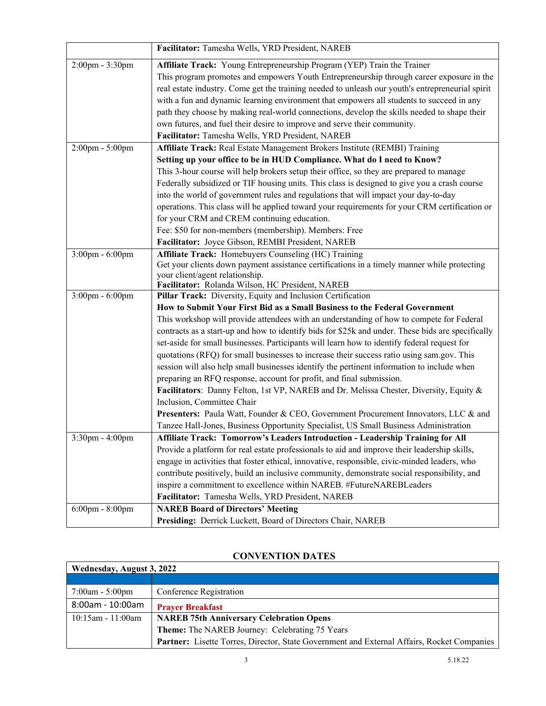|                       | Facilitator: Tamesha Wells, YRD President, NAREB                                                                |
|-----------------------|-----------------------------------------------------------------------------------------------------------------|
| 2:00pm - 3:30pm       | Affiliate Track: Young Entrepreneurship Program (YEP) Train the Trainer                                         |
|                       | This program promotes and empowers Youth Entrepreneurship through career exposure in the                        |
|                       | real estate industry. Come get the training needed to unleash our youth's entrepreneurial spirit                |
|                       | with a fun and dynamic learning environment that empowers all students to succeed in any                        |
|                       | path they choose by making real-world connections, develop the skills needed to shape their                     |
|                       | own futures, and fuel their desire to improve and serve their community.                                        |
|                       | Facilitator: Tamesha Wells, YRD President, NAREB                                                                |
| 2:00pm - 5:00pm       | Affiliate Track: Real Estate Management Brokers Institute (REMBI) Training                                      |
|                       | Setting up your office to be in HUD Compliance. What do I need to Know?                                         |
|                       | This 3-hour course will help brokers setup their office, so they are prepared to manage                         |
|                       | Federally subsidized or TIF housing units. This class is designed to give you a crash course                    |
|                       | into the world of government rules and regulations that will impact your day-to-day                             |
|                       | operations. This class will be applied toward your requirements for your CRM certification or                   |
|                       | for your CRM and CREM continuing education.                                                                     |
|                       | Fee: \$50 for non-members (membership). Members: Free                                                           |
|                       | Facilitator: Joyce Gibson, REMBI President, NAREB                                                               |
| 3:00pm - 6:00pm       | Affiliate Track: Homebuyers Counseling (HC) Training                                                            |
|                       | Get your clients down payment assistance certifications in a timely manner while protecting                     |
|                       | your client/agent relationship.                                                                                 |
| $3:00$ pm - $6:00$ pm | Facilitator: Rolanda Wilson, HC President, NAREB<br>Pillar Track: Diversity, Equity and Inclusion Certification |
|                       | How to Submit Your First Bid as a Small Business to the Federal Government                                      |
|                       | This workshop will provide attendees with an understanding of how to compete for Federal                        |
|                       | contracts as a start-up and how to identify bids for \$25k and under. These bids are specifically               |
|                       | set-aside for small businesses. Participants will learn how to identify federal request for                     |
|                       | quotations (RFQ) for small businesses to increase their success ratio using sam.gov. This                       |
|                       | session will also help small businesses identify the pertinent information to include when                      |
|                       | preparing an RFQ response, account for profit, and final submission.                                            |
|                       | Facilitators: Danny Felton, 1st VP, NAREB and Dr. Melissa Chester, Diversity, Equity &                          |
|                       | Inclusion, Committee Chair                                                                                      |
|                       | Presenters: Paula Watt, Founder & CEO, Government Procurement Innovators, LLC & and                             |
|                       | Tanzee Hall-Jones, Business Opportunity Specialist, US Small Business Administration                            |
| 3:30pm - 4:00pm       | Affiliate Track: Tomorrow's Leaders Introduction - Leadership Training for All                                  |
|                       | Provide a platform for real estate professionals to aid and improve their leadership skills,                    |
|                       | engage in activities that foster ethical, innovative, responsible, civic-minded leaders, who                    |
|                       | contribute positively, build an inclusive community, demonstrate social responsibility, and                     |
|                       | inspire a commitment to excellence within NAREB. #FutureNAREBLeaders                                            |
|                       | Facilitator: Tamesha Wells, YRD President, NAREB                                                                |
| $6:00$ pm - $8:00$ pm | <b>NAREB</b> Board of Directors' Meeting                                                                        |
|                       | Presiding: Derrick Luckett, Board of Directors Chair, NAREB                                                     |

### **CONVENTION DATES**

| Wednesday, August 3, 2022 |                                                                                            |
|---------------------------|--------------------------------------------------------------------------------------------|
|                           |                                                                                            |
| $7:00am - 5:00pm$         | Conference Registration                                                                    |
| 8:00am - 10:00am          | <b>Prayer Breakfast</b>                                                                    |
| $10:15$ am - 11:00am      | <b>NAREB 75th Anniversary Celebration Opens</b>                                            |
|                           | Theme: The NAREB Journey: Celebrating 75 Years                                             |
|                           | Partner: Lisette Torres, Director, State Government and External Affairs, Rocket Companies |

 $\overline{\mathbf{I}}$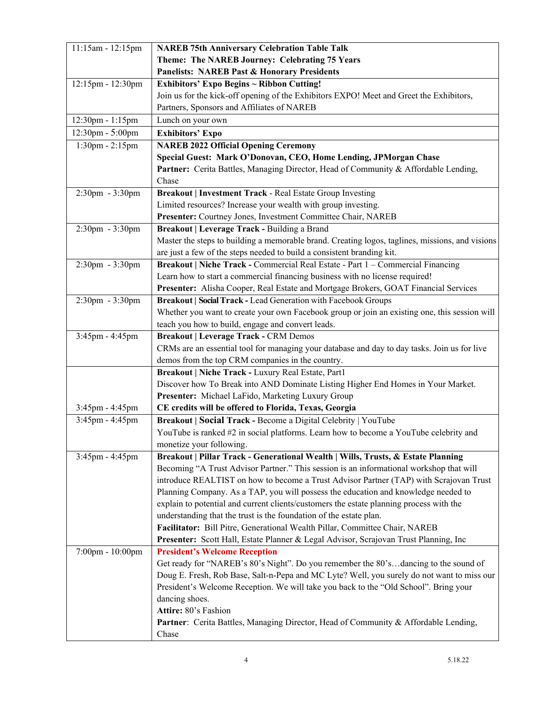| 11:15am - 12:15pm     | <b>NAREB 75th Anniversary Celebration Table Talk</b>                                            |
|-----------------------|-------------------------------------------------------------------------------------------------|
|                       | Theme: The NAREB Journey: Celebrating 75 Years                                                  |
|                       | <b>Panelists: NAREB Past &amp; Honorary Presidents</b>                                          |
| 12:15pm - 12:30pm     | <b>Exhibitors' Expo Begins ~ Ribbon Cutting!</b>                                                |
|                       | Join us for the kick-off opening of the Exhibitors EXPO! Meet and Greet the Exhibitors,         |
|                       | Partners, Sponsors and Affiliates of NAREB                                                      |
| 12:30pm - 1:15pm      | Lunch on your own                                                                               |
| 12:30pm - 5:00pm      | <b>Exhibitors' Expo</b>                                                                         |
| $1:30$ pm - $2:15$ pm | <b>NAREB 2022 Official Opening Ceremony</b>                                                     |
|                       | Special Guest: Mark O'Donovan, CEO, Home Lending, JPMorgan Chase                                |
|                       | Partner: Cerita Battles, Managing Director, Head of Community & Affordable Lending,             |
|                       | Chase                                                                                           |
| 2:30pm - 3:30pm       | <b>Breakout   Investment Track - Real Estate Group Investing</b>                                |
|                       | Limited resources? Increase your wealth with group investing.                                   |
|                       | Presenter: Courtney Jones, Investment Committee Chair, NAREB                                    |
| $2:30$ pm - $3:30$ pm | Breakout   Leverage Track - Building a Brand                                                    |
|                       | Master the steps to building a memorable brand. Creating logos, taglines, missions, and visions |
|                       | are just a few of the steps needed to build a consistent branding kit.                          |
| 2:30pm - 3:30pm       | Breakout   Niche Track - Commercial Real Estate - Part 1 - Commercial Financing                 |
|                       | Learn how to start a commercial financing business with no license required!                    |
|                       | Presenter: Alisha Cooper, Real Estate and Mortgage Brokers, GOAT Financial Services             |
| 2:30pm - 3:30pm       | Breakout   Social Track - Lead Generation with Facebook Groups                                  |
|                       | Whether you want to create your own Facebook group or join an existing one, this session will   |
|                       | teach you how to build, engage and convert leads.                                               |
| 3:45pm - 4:45pm       | <b>Breakout   Leverage Track - CRM Demos</b>                                                    |
|                       | CRMs are an essential tool for managing your database and day to day tasks. Join us for live    |
|                       | demos from the top CRM companies in the country.                                                |
|                       | Breakout   Niche Track - Luxury Real Estate, Part1                                              |
|                       | Discover how To Break into AND Dominate Listing Higher End Homes in Your Market.                |
|                       | Presenter: Michael LaFido, Marketing Luxury Group                                               |
| 3:45pm - 4:45pm       | CE credits will be offered to Florida, Texas, Georgia                                           |
| 3:45pm - 4:45pm       | Breakout   Social Track - Become a Digital Celebrity   YouTube                                  |
|                       | YouTube is ranked #2 in social platforms. Learn how to become a YouTube celebrity and           |
|                       | monetize your following.                                                                        |
| 3:45pm - 4:45pm       | Breakout   Pillar Track - Generational Wealth   Wills, Trusts, & Estate Planning                |
|                       | Becoming "A Trust Advisor Partner." This session is an informational workshop that will         |
|                       | introduce REALTIST on how to become a Trust Advisor Partner (TAP) with Scrajovan Trust          |
|                       | Planning Company. As a TAP, you will possess the education and knowledge needed to              |
|                       | explain to potential and current clients/customers the estate planning process with the         |
|                       | understanding that the trust is the foundation of the estate plan.                              |
|                       | Facilitator: Bill Pitre, Generational Wealth Pillar, Committee Chair, NAREB                     |
|                       | Presenter: Scott Hall, Estate Planner & Legal Advisor, Scrajovan Trust Planning, Inc            |
| 7:00pm - 10:00pm      | <b>President's Welcome Reception</b>                                                            |
|                       | Get ready for "NAREB's 80's Night". Do you remember the 80'sdancing to the sound of             |
|                       | Doug E. Fresh, Rob Base, Salt-n-Pepa and MC Lyte? Well, you surely do not want to miss our      |
|                       | President's Welcome Reception. We will take you back to the "Old School". Bring your            |
|                       | dancing shoes.                                                                                  |
|                       | Attire: 80's Fashion                                                                            |
|                       | Partner: Cerita Battles, Managing Director, Head of Community & Affordable Lending,             |
|                       | Chase                                                                                           |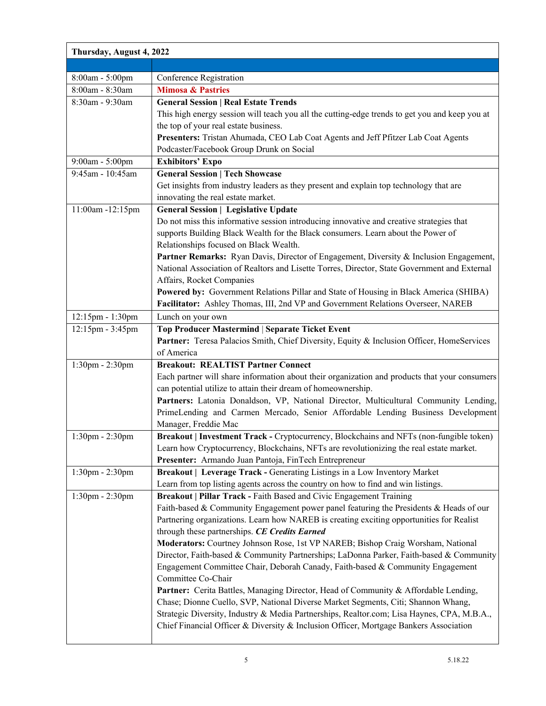| Thursday, August 4, 2022 |                                                                                                |
|--------------------------|------------------------------------------------------------------------------------------------|
|                          |                                                                                                |
| 8:00am - 5:00pm          | Conference Registration                                                                        |
| 8:00am - 8:30am          | <b>Mimosa &amp; Pastries</b>                                                                   |
| 8:30am - 9:30am          | <b>General Session   Real Estate Trends</b>                                                    |
|                          | This high energy session will teach you all the cutting-edge trends to get you and keep you at |
|                          | the top of your real estate business.                                                          |
|                          | Presenters: Tristan Ahumada, CEO Lab Coat Agents and Jeff Pfitzer Lab Coat Agents              |
|                          | Podcaster/Facebook Group Drunk on Social                                                       |
| 9:00am - 5:00pm          | <b>Exhibitors' Expo</b>                                                                        |
| 9:45am - 10:45am         | <b>General Session   Tech Showcase</b>                                                         |
|                          | Get insights from industry leaders as they present and explain top technology that are         |
|                          | innovating the real estate market.                                                             |
| 11:00am -12:15pm         | <b>General Session   Legislative Update</b>                                                    |
|                          | Do not miss this informative session introducing innovative and creative strategies that       |
|                          | supports Building Black Wealth for the Black consumers. Learn about the Power of               |
|                          | Relationships focused on Black Wealth.                                                         |
|                          | Partner Remarks: Ryan Davis, Director of Engagement, Diversity & Inclusion Engagement,         |
|                          | National Association of Realtors and Lisette Torres, Director, State Government and External   |
|                          | Affairs, Rocket Companies                                                                      |
|                          | Powered by: Government Relations Pillar and State of Housing in Black America (SHIBA)          |
|                          | Facilitator: Ashley Thomas, III, 2nd VP and Government Relations Overseer, NAREB               |
| 12:15pm - 1:30pm         | Lunch on your own                                                                              |
| 12:15pm - 3:45pm         | <b>Top Producer Mastermind   Separate Ticket Event</b>                                         |
|                          | Partner: Teresa Palacios Smith, Chief Diversity, Equity & Inclusion Officer, HomeServices      |
|                          | of America                                                                                     |
| 1:30pm - 2:30pm          | <b>Breakout: REALTIST Partner Connect</b>                                                      |
|                          | Each partner will share information about their organization and products that your consumers  |
|                          | can potential utilize to attain their dream of homeownership.                                  |
|                          | Partners: Latonia Donaldson, VP, National Director, Multicultural Community Lending,           |
|                          | PrimeLending and Carmen Mercado, Senior Affordable Lending Business Development                |
|                          | Manager, Freddie Mac                                                                           |
| 1:30pm - 2:30pm          | Breakout   Investment Track - Cryptocurrency, Blockchains and NFTs (non-fungible token)        |
|                          | Learn how Cryptocurrency, Blockchains, NFTs are revolutionizing the real estate market.        |
|                          | Presenter: Armando Juan Pantoja, FinTech Entrepreneur                                          |
| 1:30pm - 2:30pm          | Breakout   Leverage Track - Generating Listings in a Low Inventory Market                      |
|                          | Learn from top listing agents across the country on how to find and win listings.              |
| 1:30pm - 2:30pm          | Breakout   Pillar Track - Faith Based and Civic Engagement Training                            |
|                          | Faith-based & Community Engagement power panel featuring the Presidents & Heads of our         |
|                          | Partnering organizations. Learn how NAREB is creating exciting opportunities for Realist       |
|                          | through these partnerships. CE Credits Earned                                                  |
|                          | Moderators: Courtney Johnson Rose, 1st VP NAREB; Bishop Craig Worsham, National                |
|                          | Director, Faith-based & Community Partnerships; LaDonna Parker, Faith-based & Community        |
|                          | Engagement Committee Chair, Deborah Canady, Faith-based & Community Engagement                 |
|                          | Committee Co-Chair                                                                             |
|                          | Partner: Cerita Battles, Managing Director, Head of Community & Affordable Lending,            |
|                          | Chase; Dionne Cuello, SVP, National Diverse Market Segments, Citi; Shannon Whang,              |
|                          | Strategic Diversity, Industry & Media Partnerships, Realtor.com; Lisa Haynes, CPA, M.B.A.,     |
|                          | Chief Financial Officer & Diversity & Inclusion Officer, Mortgage Bankers Association          |
|                          |                                                                                                |
|                          |                                                                                                |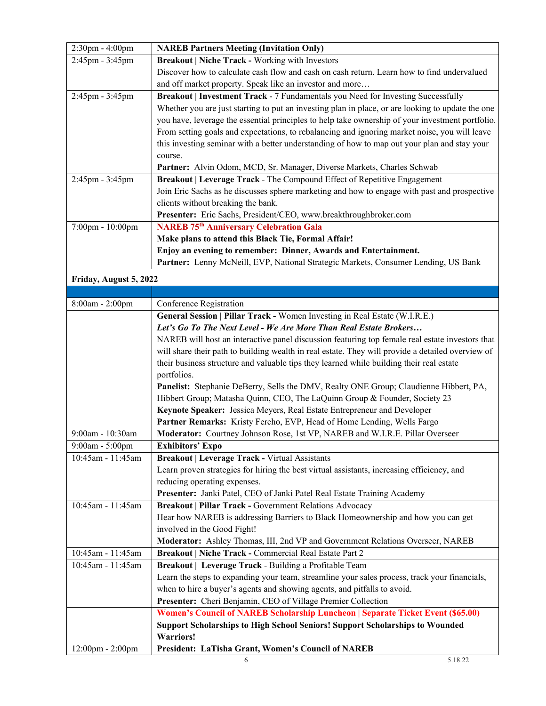| 2:30pm - 4:00pm        | <b>NAREB Partners Meeting (Invitation Only)</b>                                                   |
|------------------------|---------------------------------------------------------------------------------------------------|
| 2:45pm - 3:45pm        | <b>Breakout   Niche Track - Working with Investors</b>                                            |
|                        | Discover how to calculate cash flow and cash on cash return. Learn how to find undervalued        |
|                        | and off market property. Speak like an investor and more                                          |
| 2:45pm - 3:45pm        | Breakout   Investment Track - 7 Fundamentals you Need for Investing Successfully                  |
|                        | Whether you are just starting to put an investing plan in place, or are looking to update the one |
|                        | you have, leverage the essential principles to help take ownership of your investment portfolio.  |
|                        | From setting goals and expectations, to rebalancing and ignoring market noise, you will leave     |
|                        | this investing seminar with a better understanding of how to map out your plan and stay your      |
|                        | course.                                                                                           |
|                        | Partner: Alvin Odom, MCD, Sr. Manager, Diverse Markets, Charles Schwab                            |
| 2:45pm - 3:45pm        | Breakout   Leverage Track - The Compound Effect of Repetitive Engagement                          |
|                        | Join Eric Sachs as he discusses sphere marketing and how to engage with past and prospective      |
|                        | clients without breaking the bank.                                                                |
|                        | Presenter: Eric Sachs, President/CEO, www.breakthroughbroker.com                                  |
| 7:00pm - 10:00pm       | <b>NAREB 75th Anniversary Celebration Gala</b>                                                    |
|                        | Make plans to attend this Black Tie, Formal Affair!                                               |
|                        | Enjoy an evening to remember: Dinner, Awards and Entertainment.                                   |
|                        | Partner: Lenny McNeill, EVP, National Strategic Markets, Consumer Lending, US Bank                |
| Friday, August 5, 2022 |                                                                                                   |
|                        |                                                                                                   |
| 8:00am - 2:00pm        | Conference Registration                                                                           |
|                        | General Session   Pillar Track - Women Investing in Real Estate (W.I.R.E.)                        |
|                        | Let's Go To The Next Level - We Are More Than Real Estate Brokers                                 |
|                        | NAREB will host an interactive panel discussion featuring top female real estate investors that   |
|                        | will share their path to building wealth in real estate. They will provide a detailed overview of |
|                        | their business structure and valuable tips they learned while building their real estate          |
|                        | portfolios.                                                                                       |
|                        | Panelist: Stephanie DeBerry, Sells the DMV, Realty ONE Group; Claudienne Hibbert, PA,             |
|                        | Hibbert Group; Matasha Quinn, CEO, The LaQuinn Group & Founder, Society 23                        |
|                        | Keynote Speaker: Jessica Meyers, Real Estate Entrepreneur and Developer                           |
|                        | Partner Remarks: Kristy Fercho, EVP, Head of Home Lending, Wells Fargo                            |
| 9:00am - 10:30am       | Moderator: Courtney Johnson Rose, 1st VP, NAREB and W.I.R.E. Pillar Overseer                      |
| 9:00am - 5:00pm        | <b>Exhibitors' Expo</b>                                                                           |
| 10:45am - 11:45am      | <b>Breakout   Leverage Track - Virtual Assistants</b>                                             |
|                        | Learn proven strategies for hiring the best virtual assistants, increasing efficiency, and        |
|                        | reducing operating expenses.                                                                      |
|                        | Presenter: Janki Patel, CEO of Janki Patel Real Estate Training Academy                           |
| 10:45am - 11:45am      | Breakout   Pillar Track - Government Relations Advocacy                                           |
|                        | Hear how NAREB is addressing Barriers to Black Homeownership and how you can get                  |
|                        | involved in the Good Fight!                                                                       |
|                        | Moderator: Ashley Thomas, III, 2nd VP and Government Relations Overseer, NAREB                    |
| 10:45am - 11:45am      | Breakout   Niche Track - Commercial Real Estate Part 2                                            |
| 10:45am - 11:45am      | Breakout   Leverage Track - Building a Profitable Team                                            |
|                        | Learn the steps to expanding your team, streamline your sales process, track your financials,     |
|                        | when to hire a buyer's agents and showing agents, and pitfalls to avoid.                          |
|                        | Presenter: Cheri Benjamin, CEO of Village Premier Collection                                      |
|                        | Women's Council of NAREB Scholarship Luncheon   Separate Ticket Event (\$65.00)                   |
|                        | Support Scholarships to High School Seniors! Support Scholarships to Wounded                      |
|                        | <b>Warriors!</b>                                                                                  |
| 12:00pm - 2:00pm       | President: LaTisha Grant, Women's Council of NAREB                                                |
|                        | 5.18.22<br>6                                                                                      |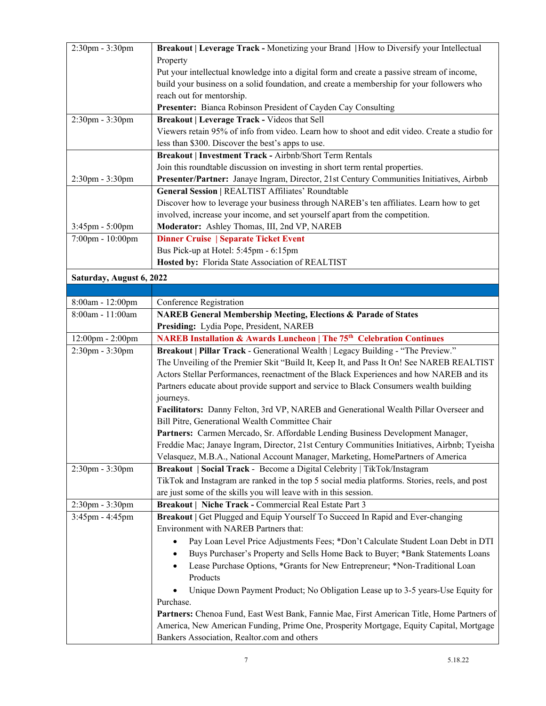| 2:30pm - 3:30pm          | Breakout   Leverage Track - Monetizing your Brand   How to Diversify your Intellectual        |
|--------------------------|-----------------------------------------------------------------------------------------------|
|                          | Property                                                                                      |
|                          | Put your intellectual knowledge into a digital form and create a passive stream of income,    |
|                          | build your business on a solid foundation, and create a membership for your followers who     |
|                          | reach out for mentorship.                                                                     |
|                          | Presenter: Bianca Robinson President of Cayden Cay Consulting                                 |
| 2:30pm - 3:30pm          | Breakout   Leverage Track - Videos that Sell                                                  |
|                          | Viewers retain 95% of info from video. Learn how to shoot and edit video. Create a studio for |
|                          | less than \$300. Discover the best's apps to use.                                             |
|                          | Breakout   Investment Track - Airbnb/Short Term Rentals                                       |
|                          | Join this roundtable discussion on investing in short term rental properties.                 |
| $2:30$ pm - $3:30$ pm    | Presenter/Partner: Janaye Ingram, Director, 21st Century Communities Initiatives, Airbnb      |
|                          | General Session   REALTIST Affiliates' Roundtable                                             |
|                          | Discover how to leverage your business through NAREB's ten affiliates. Learn how to get       |
|                          | involved, increase your income, and set yourself apart from the competition.                  |
| 3:45pm - 5:00pm          | Moderator: Ashley Thomas, III, 2nd VP, NAREB                                                  |
| 7:00pm - 10:00pm         | <b>Dinner Cruise   Separate Ticket Event</b>                                                  |
|                          | Bus Pick-up at Hotel: 5:45pm - 6:15pm                                                         |
|                          | Hosted by: Florida State Association of REALTIST                                              |
| Saturday, August 6, 2022 |                                                                                               |
|                          |                                                                                               |
| 8:00am - 12:00pm         | Conference Registration                                                                       |
| 8:00am - 11:00am         | <b>NAREB General Membership Meeting, Elections &amp; Parade of States</b>                     |
|                          | Presiding: Lydia Pope, President, NAREB                                                       |
| 12:00pm - 2:00pm         | <b>NAREB Installation &amp; Awards Luncheon   The 75th Celebration Continues</b>              |
| 2:30pm - 3:30pm          | Breakout   Pillar Track - Generational Wealth   Legacy Building - "The Preview."              |
|                          | The Unveiling of the Premier Skit "Build It, Keep It, and Pass It On! See NAREB REALTIST      |
|                          | Actors Stellar Performances, reenactment of the Black Experiences and how NAREB and its       |
|                          | Partners educate about provide support and service to Black Consumers wealth building         |
|                          | journeys.                                                                                     |
|                          | Facilitators: Danny Felton, 3rd VP, NAREB and Generational Wealth Pillar Overseer and         |
|                          | Bill Pitre, Generational Wealth Committee Chair                                               |
|                          | Partners: Carmen Mercado, Sr. Affordable Lending Business Development Manager,                |
|                          | Freddie Mac; Janaye Ingram, Director, 21st Century Communities Initiatives, Airbnb; Tyeisha   |
|                          | Velasquez, M.B.A., National Account Manager, Marketing, HomePartners of America               |
| 2:30pm - 3:30pm          | Breakout   Social Track - Become a Digital Celebrity   TikTok/Instagram                       |
|                          | TikTok and Instagram are ranked in the top 5 social media platforms. Stories, reels, and post |
|                          | are just some of the skills you will leave with in this session.                              |
| 2:30pm - 3:30pm          | Breakout   Niche Track - Commercial Real Estate Part 3                                        |
| 3:45pm - 4:45pm          | Breakout   Get Plugged and Equip Yourself To Succeed In Rapid and Ever-changing               |
|                          | Environment with NAREB Partners that:                                                         |
|                          | Pay Loan Level Price Adjustments Fees; *Don't Calculate Student Loan Debt in DTI              |
|                          | Buys Purchaser's Property and Sells Home Back to Buyer; *Bank Statements Loans                |
|                          | Lease Purchase Options, *Grants for New Entrepreneur; *Non-Traditional Loan                   |
|                          | Products                                                                                      |
|                          | Unique Down Payment Product; No Obligation Lease up to 3-5 years-Use Equity for               |
|                          | Purchase.                                                                                     |
|                          | Partners: Chenoa Fund, East West Bank, Fannie Mae, First American Title, Home Partners of     |
|                          | America, New American Funding, Prime One, Prosperity Mortgage, Equity Capital, Mortgage       |
|                          | Bankers Association, Realtor.com and others                                                   |